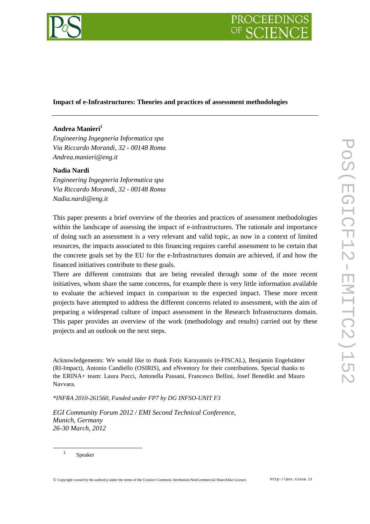



**Impact of e-Infrastructures: Theories and practices of assessment methodologies** 

## **Andrea Manieri<sup>1</sup>**

*Engineering Ingegneria Informatica spa Via Riccardo Morandi, 32 - 00148 Roma Andrea.manieri@eng.it* 

#### **Nadia Nardi**

*Engineering Ingegneria Informatica spa Via Riccardo Morandi, 32 - 00148 Roma Nadia.nardi@eng.it* 

This paper presents a brief overview of the theories and practices of assessment methodologies within the landscape of assessing the impact of e-infrastructures. The rationale and importance of doing such an assessment is a very relevant and valid topic, as now in a context of limited resources, the impacts associated to this financing requires careful assessment to be certain that the concrete goals set by the EU for the e-Infrastructures domain are achieved, if and how the financed initiatives contribute to these goals.

There are different constraints that are being revealed through some of the more recent initiatives, whom share the same concerns, for example there is very little information available to evaluate the achieved impact in comparison to the expected impact. These more recent projects have attempted to address the different concerns related to assessment, with the aim of preparing a widespread culture of impact assessment in the Research Infrastructures domain. This paper provides an overview of the work (methodology and results) carried out by these projects and an outlook on the next steps.

Acknowledgements: We would like to thank Fotis Karayannis (e-FISCAL), Benjamin Engelstätter (RI-Impact), Antonio Candiello (OSIRIS), and eNventory for their contributions. Special thanks to the ERINA+ team: Laura Pucci, Antonella Passani, Francesco Bellini, Josef Benedikt and Mauro Navvara.

*\*INFRA 2010-261560, Funded under FP7 by DG INFSO-UNIT F3*

*EGI Community Forum 2012 / EMI Second Technical Conference*, *Munich, Germany 26-30 March, 2012* 

1 Speaker

 $\overline{a}$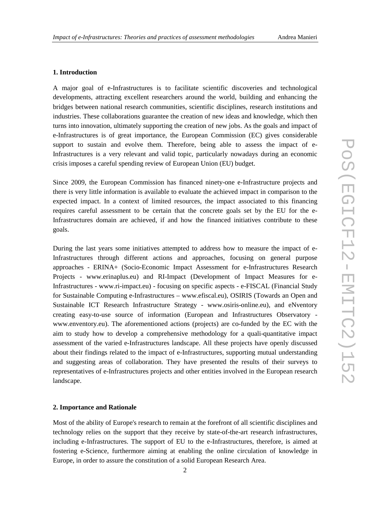#### **1. Introduction**

A major goal of e-Infrastructures is to facilitate scientific discoveries and technological developments, attracting excellent researchers around the world, building and enhancing the bridges between national research communities, scientific disciplines, research institutions and industries. These collaborations guarantee the creation of new ideas and knowledge, which then turns into innovation, ultimately supporting the creation of new jobs. As the goals and impact of e-Infrastructures is of great importance, the European Commission (EC) gives considerable support to sustain and evolve them. Therefore, being able to assess the impact of e-Infrastructures is a very relevant and valid topic, particularly nowadays during an economic crisis imposes a careful spending review of European Union (EU) budget.

Since 2009, the European Commission has financed ninety-one e-Infrastructure projects and there is very little information is available to evaluate the achieved impact in comparison to the expected impact. In a context of limited resources, the impact associated to this financing requires careful assessment to be certain that the concrete goals set by the EU for the e-Infrastructures domain are achieved, if and how the financed initiatives contribute to these goals.

During the last years some initiatives attempted to address how to measure the impact of e-Infrastructures through different actions and approaches, focusing on general purpose approaches - ERINA+ (Socio-Economic Impact Assessment for e-Infrastructures Research Projects - www.erinaplus.eu) and RI-Impact (Development of Impact Measures for e-Infrastructures - www.ri-impact.eu) - focusing on specific aspects - e-FISCAL (Financial Study for Sustainable Computing e-Infrastructures – www.efiscal.eu), OSIRIS (Towards an Open and Sustainable ICT Research Infrastructure Strategy - www.osiris-online.eu), and eNventory creating easy-to-use source of information (European and Infrastructures Observatory www.enventory.eu). The aforementioned actions (projects) are co-funded by the EC with the aim to study how to develop a comprehensive methodology for a quali-quantitative impact assessment of the varied e-Infrastructures landscape. All these projects have openly discussed about their findings related to the impact of e-Infrastructures, supporting mutual understanding and suggesting areas of collaboration. They have presented the results of their surveys to representatives of e-Infrastructures projects and other entities involved in the European research landscape.

#### **2. Importance and Rationale**

Most of the ability of Europe's research to remain at the forefront of all scientific disciplines and technology relies on the support that they receive by state-of-the-art research infrastructures, including e-Infrastructures. The support of EU to the e-Infrastructures, therefore, is aimed at fostering e-Science, furthermore aiming at enabling the online circulation of knowledge in Europe, in order to assure the constitution of a solid European Research Area.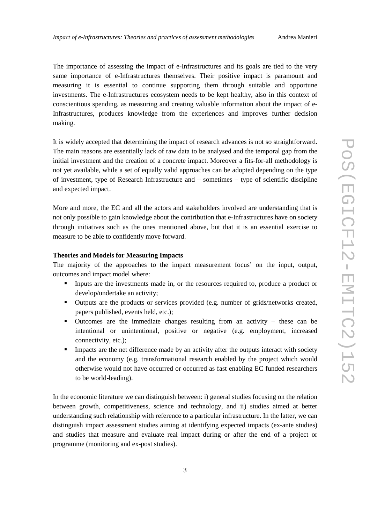The importance of assessing the impact of e-Infrastructures and its goals are tied to the very same importance of e-Infrastructures themselves. Their positive impact is paramount and measuring it is essential to continue supporting them through suitable and opportune investments. The e-Infrastructures ecosystem needs to be kept healthy, also in this context of conscientious spending, as measuring and creating valuable information about the impact of e-Infrastructures, produces knowledge from the experiences and improves further decision making.

It is widely accepted that determining the impact of research advances is not so straightforward. The main reasons are essentially lack of raw data to be analysed and the temporal gap from the initial investment and the creation of a concrete impact. Moreover a fits-for-all methodology is not yet available, while a set of equally valid approaches can be adopted depending on the type of investment, type of Research Infrastructure and – sometimes – type of scientific discipline and expected impact.

More and more, the EC and all the actors and stakeholders involved are understanding that is not only possible to gain knowledge about the contribution that e-Infrastructures have on society through initiatives such as the ones mentioned above, but that it is an essential exercise to measure to be able to confidently move forward.

## **Theories and Models for Measuring Impacts**

The majority of the approaches to the impact measurement focus' on the input, output, outcomes and impact model where:

- Inputs are the investments made in, or the resources required to, produce a product or develop/undertake an activity;
- Outputs are the products or services provided (e.g. number of grids/networks created, papers published, events held, etc.);
- Outcomes are the immediate changes resulting from an activity these can be intentional or unintentional, positive or negative (e.g. employment, increased connectivity, etc.);
- Impacts are the net difference made by an activity after the outputs interact with society and the economy (e.g. transformational research enabled by the project which would otherwise would not have occurred or occurred as fast enabling EC funded researchers to be world-leading).

In the economic literature we can distinguish between: i) general studies focusing on the relation between growth, competitiveness, science and technology, and ii) studies aimed at better understanding such relationship with reference to a particular infrastructure. In the latter, we can distinguish impact assessment studies aiming at identifying expected impacts (ex-ante studies) and studies that measure and evaluate real impact during or after the end of a project or programme (monitoring and ex-post studies).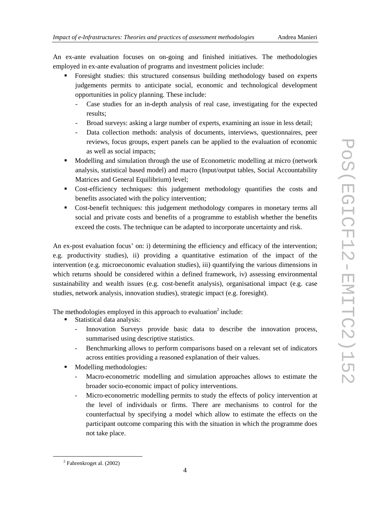An ex-ante evaluation focuses on on-going and finished initiatives. The methodologies employed in ex-ante evaluation of programs and investment policies include:

- Foresight studies: this structured consensus building methodology based on experts judgements permits to anticipate social, economic and technological development opportunities in policy planning. These include:
	- Case studies for an in-depth analysis of real case, investigating for the expected results;
	- Broad surveys: asking a large number of experts, examining an issue in less detail;
	- Data collection methods: analysis of documents, interviews, questionnaires, peer reviews, focus groups, expert panels can be applied to the evaluation of economic as well as social impacts;
- Modelling and simulation through the use of Econometric modelling at micro (network analysis, statistical based model) and macro (Input/output tables, Social Accountability Matrices and General Equilibrium) level;
- Cost-efficiency techniques: this judgement methodology quantifies the costs and benefits associated with the policy intervention;
- Cost-benefit techniques: this judgement methodology compares in monetary terms all social and private costs and benefits of a programme to establish whether the benefits exceed the costs. The technique can be adapted to incorporate uncertainty and risk.

An ex-post evaluation focus' on: i) determining the efficiency and efficacy of the intervention; e.g. productivity studies), ii) providing a quantitative estimation of the impact of the intervention (e.g. microeconomic evaluation studies), iii) quantifying the various dimensions in which returns should be considered within a defined framework, iv) assessing environmental sustainability and wealth issues (e.g. cost-benefit analysis), organisational impact (e.g. case studies, network analysis, innovation studies), strategic impact (e.g. foresight).

The methodologies employed in this approach to evaluation<sup>2</sup> include:

- Statistical data analysis:
	- Innovation Surveys provide basic data to describe the innovation process, summarised using descriptive statistics.
	- Benchmarking allows to perform comparisons based on a relevant set of indicators across entities providing a reasoned explanation of their values.
- Modelling methodologies:
	- Macro-econometric modelling and simulation approaches allows to estimate the broader socio-economic impact of policy interventions.
	- Micro-econometric modelling permits to study the effects of policy intervention at the level of individuals or firms. There are mechanisms to control for the counterfactual by specifying a model which allow to estimate the effects on the participant outcome comparing this with the situation in which the programme does not take place.

 $\overline{a}$ 

 $2$  Fahrenkroget al. (2002)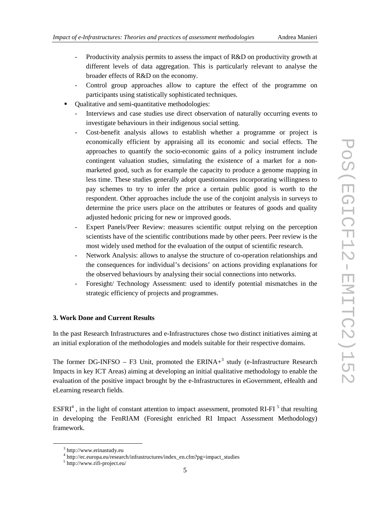- Productivity analysis permits to assess the impact of R&D on productivity growth at different levels of data aggregation. This is particularly relevant to analyse the broader effects of R&D on the economy.
- Control group approaches allow to capture the effect of the programme on participants using statistically sophisticated techniques.
- Qualitative and semi-quantitative methodologies:
	- Interviews and case studies use direct observation of naturally occurring events to investigate behaviours in their indigenous social setting.
	- Cost-benefit analysis allows to establish whether a programme or project is economically efficient by appraising all its economic and social effects. The approaches to quantify the socio-economic gains of a policy instrument include contingent valuation studies, simulating the existence of a market for a nonmarketed good, such as for example the capacity to produce a genome mapping in less time. These studies generally adopt questionnaires incorporating willingness to pay schemes to try to infer the price a certain public good is worth to the respondent. Other approaches include the use of the conjoint analysis in surveys to determine the price users place on the attributes or features of goods and quality adjusted hedonic pricing for new or improved goods.
	- Expert Panels/Peer Review: measures scientific output relying on the perception scientists have of the scientific contributions made by other peers. Peer review is the most widely used method for the evaluation of the output of scientific research.
	- Network Analysis: allows to analyse the structure of co-operation relationships and the consequences for individual's decisions' on actions providing explanations for the observed behaviours by analysing their social connections into networks.
	- Foresight/ Technology Assessment: used to identify potential mismatches in the strategic efficiency of projects and programmes.

# **3. Work Done and Current Results**

In the past Research Infrastructures and e-Infrastructures chose two distinct initiatives aiming at an initial exploration of the methodologies and models suitable for their respective domains.

The former DG-INFSO – F3 Unit, promoted the  $ERINA+<sup>3</sup>$  study (e-Infrastructure Research Impacts in key ICT Areas) aiming at developing an initial qualitative methodology to enable the evaluation of the positive impact brought by the e-Infrastructures in eGovernment, eHealth and eLearning research fields.

 $ESFRI<sup>4</sup>$ , in the light of constant attention to impact assessment, promoted RI-FI<sup>5</sup> that resulting in developing the FenRIAM (Foresight enriched RI Impact Assessment Methodology) framework.

 $\overline{a}$ 

<sup>3</sup> http://www.erinastudy.eu

<sup>4</sup> http://ec.europa.eu/research/infrastructures/index\_en.cfm?pg=impact\_studies

<sup>5</sup> http://www.rifi-project.eu/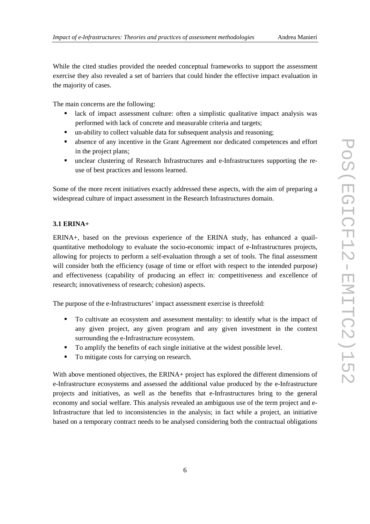While the cited studies provided the needed conceptual frameworks to support the assessment exercise they also revealed a set of barriers that could hinder the effective impact evaluation in the majority of cases.

The main concerns are the following:

- lack of impact assessment culture: often a simplistic qualitative impact analysis was performed with lack of concrete and measurable criteria and targets;
- un-ability to collect valuable data for subsequent analysis and reasoning;
- absence of any incentive in the Grant Agreement nor dedicated competences and effort in the project plans;
- unclear clustering of Research Infrastructures and e-Infrastructures supporting the reuse of best practices and lessons learned.

Some of the more recent initiatives exactly addressed these aspects, with the aim of preparing a widespread culture of impact assessment in the Research Infrastructures domain.

# **3.1 ERINA+**

ERINA+, based on the previous experience of the ERINA study, has enhanced a quailquantitative methodology to evaluate the socio-economic impact of e-Infrastructures projects, allowing for projects to perform a self-evaluation through a set of tools. The final assessment will consider both the efficiency (usage of time or effort with respect to the intended purpose) and effectiveness (capability of producing an effect in: competitiveness and excellence of research; innovativeness of research; cohesion) aspects.

The purpose of the e-Infrastructures' impact assessment exercise is threefold:

- To cultivate an ecosystem and assessment mentality: to identify what is the impact of any given project, any given program and any given investment in the context surrounding the e-Infrastructure ecosystem.
- To amplify the benefits of each single initiative at the widest possible level.
- To mitigate costs for carrying on research.

With above mentioned objectives, the ERINA+ project has explored the different dimensions of e-Infrastructure ecosystems and assessed the additional value produced by the e-Infrastructure projects and initiatives, as well as the benefits that e-Infrastructures bring to the general economy and social welfare. This analysis revealed an ambiguous use of the term project and e-Infrastructure that led to inconsistencies in the analysis; in fact while a project, an initiative based on a temporary contract needs to be analysed considering both the contractual obligations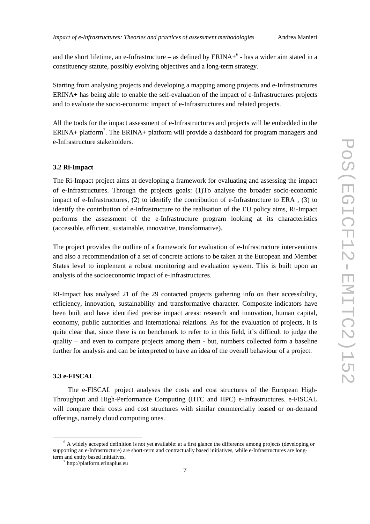and the short lifetime, an e-Infrastructure – as defined by  $ERINA<sup>6</sup>$  - has a wider aim stated in a constituency statute, possibly evolving objectives and a long-term strategy.

Starting from analysing projects and developing a mapping among projects and e-Infrastructures ERINA+ has being able to enable the self-evaluation of the impact of e-Infrastructures projects and to evaluate the socio-economic impact of e-Infrastructures and related projects.

All the tools for the impact assessment of e-Infrastructures and projects will be embedded in the ERINA+ platform<sup>7</sup>. The ERINA+ platform will provide a dashboard for program managers and e-Infrastructure stakeholders.

#### **3.2 Ri-Impact**

The Ri-Impact project aims at developing a framework for evaluating and assessing the impact of e-Infrastructures. Through the projects goals: (1)To analyse the broader socio-economic impact of e-Infrastructures, (2) to identify the contribution of e-Infrastructure to ERA , (3) to identify the contribution of e-Infrastructure to the realisation of the EU policy aims, Ri-Impact performs the assessment of the e-Infrastructure program looking at its characteristics (accessible, efficient, sustainable, innovative, transformative).

The project provides the outline of a framework for evaluation of e-Infrastructure interventions and also a recommendation of a set of concrete actions to be taken at the European and Member States level to implement a robust monitoring and evaluation system. This is built upon an analysis of the socioeconomic impact of e-Infrastructures.

RI-Impact has analysed 21 of the 29 contacted projects gathering info on their accessibility, efficiency, innovation, sustainability and transformative character. Composite indicators have been built and have identified precise impact areas: research and innovation, human capital, economy, public authorities and international relations. As for the evaluation of projects, it is quite clear that, since there is no benchmark to refer to in this field, it's difficult to judge the quality – and even to compare projects among them - but, numbers collected form a baseline further for analysis and can be interpreted to have an idea of the overall behaviour of a project.

#### **3.3 e-FISCAL**

 $\overline{a}$ 

The e-FISCAL project analyses the costs and cost structures of the European High-Throughput and High-Performance Computing (HTC and HPC) e-Infrastructures. e-FISCAL will compare their costs and cost structures with similar commercially leased or on-demand offerings, namely cloud computing ones.

<sup>&</sup>lt;sup>6</sup> A widely accepted definition is not yet available: at a first glance the difference among projects (developing or supporting an e-Infrastructure) are short-term and contractually based initiatives, while e-Infrastructures are longterm and entity based initiatives,

<sup>7</sup> http://platform.erinaplus.eu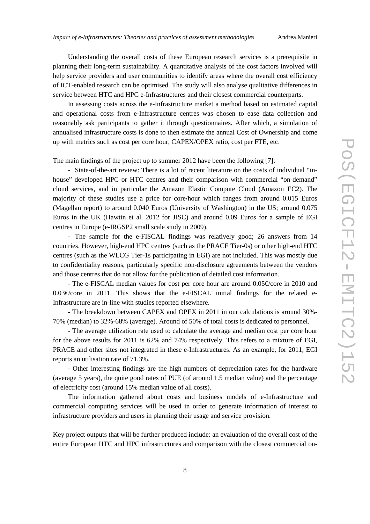Understanding the overall costs of these European research services is a prerequisite in planning their long-term sustainability. A quantitative analysis of the cost factors involved will help service providers and user communities to identify areas where the overall cost efficiency of ICT-enabled research can be optimised. The study will also analyse qualitative differences in service between HTC and HPC e-Infrastructures and their closest commercial counterparts.

In assessing costs across the e-Infrastructure market a method based on estimated capital and operational costs from e-Infrastructure centres was chosen to ease data collection and reasonably ask participants to gather it through questionnaires. After which, a simulation of annualised infrastructure costs is done to then estimate the annual Cost of Ownership and come up with metrics such as cost per core hour, CAPEX/OPEX ratio, cost per FTE, etc.

The main findings of the project up to summer 2012 have been the following [7]:

- State-of-the-art review: There is a lot of recent literature on the costs of individual "inhouse" developed HPC or HTC centres and their comparison with commercial "on-demand" cloud services, and in particular the Amazon Elastic Compute Cloud (Amazon EC2). The majority of these studies use a price for core/hour which ranges from around 0.015 Euros (Magellan report) to around 0.040 Euros (University of Washington) in the US; around 0.075 Euros in the UK (Hawtin et al. 2012 for JISC) and around 0.09 Euros for a sample of EGI centres in Europe (e-IRGSP2 small scale study in 2009).

- The sample for the e-FISCAL findings was relatively good; 26 answers from 14 countries. However, high-end HPC centres (such as the PRACE Tier-0s) or other high-end HTC centres (such as the WLCG Tier-1s participating in EGI) are not included. This was mostly due to confidentiality reasons, particularly specific non-disclosure agreements between the vendors and those centres that do not allow for the publication of detailed cost information.

- The e-FISCAL median values for cost per core hour are around 0.05€/core in 2010 and 0.03 €/core in 2011. This shows that the e-FISCAL initial findings for the related e-Infrastructure are in-line with studies reported elsewhere.

- The breakdown between CAPEX and OPEX in 2011 in our calculations is around 30%- 70% (median) to 32%-68% (average). Around of 50% of total costs is dedicated to personnel.

- The average utilization rate used to calculate the average and median cost per core hour for the above results for 2011 is 62% and 74% respectively. This refers to a mixture of EGI, PRACE and other sites not integrated in these e-Infrastructures. As an example, for 2011, EGI reports an utilisation rate of 71.3%.

- Other interesting findings are the high numbers of depreciation rates for the hardware (average 5 years), the quite good rates of PUE (of around 1.5 median value) and the percentage of electricity cost (around 15% median value of all costs).

The information gathered about costs and business models of e-Infrastructure and commercial computing services will be used in order to generate information of interest to infrastructure providers and users in planning their usage and service provision.

Key project outputs that will be further produced include: an evaluation of the overall cost of the entire European HTC and HPC infrastructures and comparison with the closest commercial on-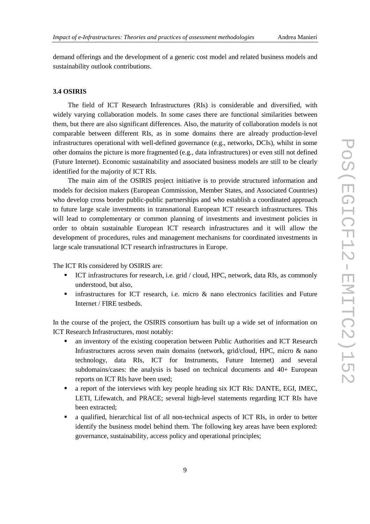demand offerings and the development of a generic cost model and related business models and sustainability outlook contributions.

### **3.4 OSIRIS**

The field of ICT Research Infrastructures (RIs) is considerable and diversified, with widely varying collaboration models. In some cases there are functional similarities between them, but there are also significant differences. Also, the maturity of collaboration models is not comparable between different RIs, as in some domains there are already production-level infrastructures operational with well-defined governance (e.g., networks, DCIs), whilst in some other domains the picture is more fragmented (e.g., data infrastructures) or even still not defined (Future Internet). Economic sustainability and associated business models are still to be clearly identified for the majority of ICT RIs.

The main aim of the OSIRIS project initiative is to provide structured information and models for decision makers (European Commission, Member States, and Associated Countries) who develop cross border public-public partnerships and who establish a coordinated approach to future large scale investments in transnational European ICT research infrastructures. This will lead to complementary or common planning of investments and investment policies in order to obtain sustainable European ICT research infrastructures and it will allow the development of procedures, rules and management mechanisms for coordinated investments in large scale transnational ICT research infrastructures in Europe.

The ICT RIs considered by OSIRIS are:

- ICT infrastructures for research, i.e. grid / cloud, HPC, network, data RIs, as commonly understood, but also,
- infrastructures for ICT research, i.e. micro & nano electronics facilities and Future Internet / FIRE testbeds.

In the course of the project, the OSIRIS consortium has built up a wide set of information on ICT Research Infrastructures, most notably:

- an inventory of the existing cooperation between Public Authorities and ICT Research Infrastructures across seven main domains (network, grid/cloud, HPC, micro & nano technology, data RIs, ICT for Instruments, Future Internet) and several subdomains/cases: the analysis is based on technical documents and 40+ European reports on ICT RIs have been used;
- a report of the interviews with key people heading six ICT RIs: DANTE, EGI, IMEC, LETI, Lifewatch, and PRACE; several high-level statements regarding ICT RIs have been extracted;
- a qualified, hierarchical list of all non-technical aspects of ICT RIs, in order to better identify the business model behind them. The following key areas have been explored: governance, sustainability, access policy and operational principles;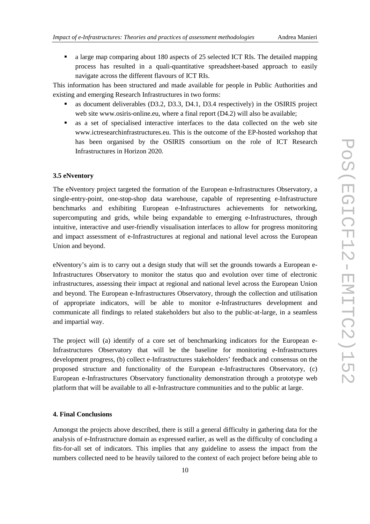a large map comparing about 180 aspects of 25 selected ICT RIs. The detailed mapping process has resulted in a quali-quantitative spreadsheet-based approach to easily navigate across the different flavours of ICT RIs.

This information has been structured and made available for people in Public Authorities and existing and emerging Research Infrastructures in two forms:

- as document deliverables (D3.2, D3.3, D4.1, D3.4 respectively) in the OSIRIS project web site www.osiris-online.eu, where a final report (D4.2) will also be available;
- as a set of specialised interactive interfaces to the data collected on the web site www.ictresearchinfrastructures.eu. This is the outcome of the EP-hosted workshop that has been organised by the OSIRIS consortium on the role of ICT Research Infrastructures in Horizon 2020.

#### **3.5 eNventory**

The eNventory project targeted the formation of the European e-Infrastructures Observatory, a single-entry-point, one-stop-shop data warehouse, capable of representing e-Infrastructure benchmarks and exhibiting European e-Infrastructures achievements for networking, supercomputing and grids, while being expandable to emerging e-Infrastructures, through intuitive, interactive and user-friendly visualisation interfaces to allow for progress monitoring and impact assessment of e-Infrastructures at regional and national level across the European Union and beyond.

eNventory's aim is to carry out a design study that will set the grounds towards a European e-Infrastructures Observatory to monitor the status quo and evolution over time of electronic infrastructures, assessing their impact at regional and national level across the European Union and beyond. The European e-Infrastructures Observatory, through the collection and utilisation of appropriate indicators, will be able to monitor e-Infrastructures development and communicate all findings to related stakeholders but also to the public-at-large, in a seamless and impartial way.

The project will (a) identify of a core set of benchmarking indicators for the European e-Infrastructures Observatory that will be the baseline for monitoring e-Infrastructures development progress, (b) collect e-Infrastructures stakeholders' feedback and consensus on the proposed structure and functionality of the European e-Infrastructures Observatory, (c) European e-Infrastructures Observatory functionality demonstration through a prototype web platform that will be available to all e-Infrastructure communities and to the public at large.

## **4. Final Conclusions**

Amongst the projects above described, there is still a general difficulty in gathering data for the analysis of e-Infrastructure domain as expressed earlier, as well as the difficulty of concluding a fits-for-all set of indicators. This implies that any guideline to assess the impact from the numbers collected need to be heavily tailored to the context of each project before being able to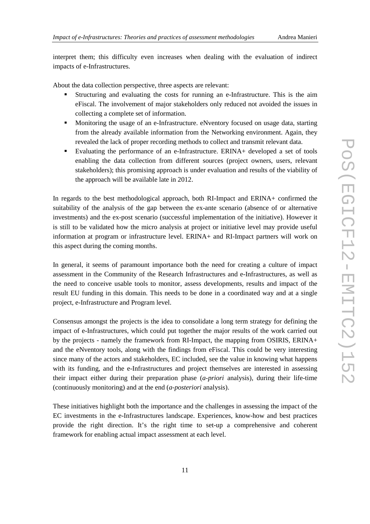interpret them; this difficulty even increases when dealing with the evaluation of indirect impacts of e-Infrastructures.

About the data collection perspective, three aspects are relevant:

- Structuring and evaluating the costs for running an e-Infrastructure. This is the aim eFiscal. The involvement of major stakeholders only reduced not avoided the issues in collecting a complete set of information.
- Monitoring the usage of an e-Infrastructure. eNventory focused on usage data, starting from the already available information from the Networking environment. Again, they revealed the lack of proper recording methods to collect and transmit relevant data.
- Evaluating the performance of an e-Infrastructure. ERINA+ developed a set of tools enabling the data collection from different sources (project owners, users, relevant stakeholders); this promising approach is under evaluation and results of the viability of the approach will be available late in 2012.

In regards to the best methodological approach, both RI-Impact and ERINA+ confirmed the suitability of the analysis of the gap between the ex-ante scenario (absence of or alternative investments) and the ex-post scenario (successful implementation of the initiative). However it is still to be validated how the micro analysis at project or initiative level may provide useful information at program or infrastructure level. ERINA+ and RI-Impact partners will work on this aspect during the coming months.

In general, it seems of paramount importance both the need for creating a culture of impact assessment in the Community of the Research Infrastructures and e-Infrastructures, as well as the need to conceive usable tools to monitor, assess developments, results and impact of the result EU funding in this domain. This needs to be done in a coordinated way and at a single project, e-Infrastructure and Program level.

Consensus amongst the projects is the idea to consolidate a long term strategy for defining the impact of e-Infrastructures, which could put together the major results of the work carried out by the projects - namely the framework from RI-Impact, the mapping from OSIRIS, ERINA+ and the eNventory tools, along with the findings from eFiscal. This could be very interesting since many of the actors and stakeholders, EC included, see the value in knowing what happens with its funding, and the e-Infrastructures and project themselves are interested in assessing their impact either during their preparation phase (*a-priori* analysis), during their life-time (continuously monitoring) and at the end (*a-posteriori* analysis).

These initiatives highlight both the importance and the challenges in assessing the impact of the EC investments in the e-Infrastructures landscape. Experiences, know-how and best practices provide the right direction. It's the right time to set-up a comprehensive and coherent framework for enabling actual impact assessment at each level.